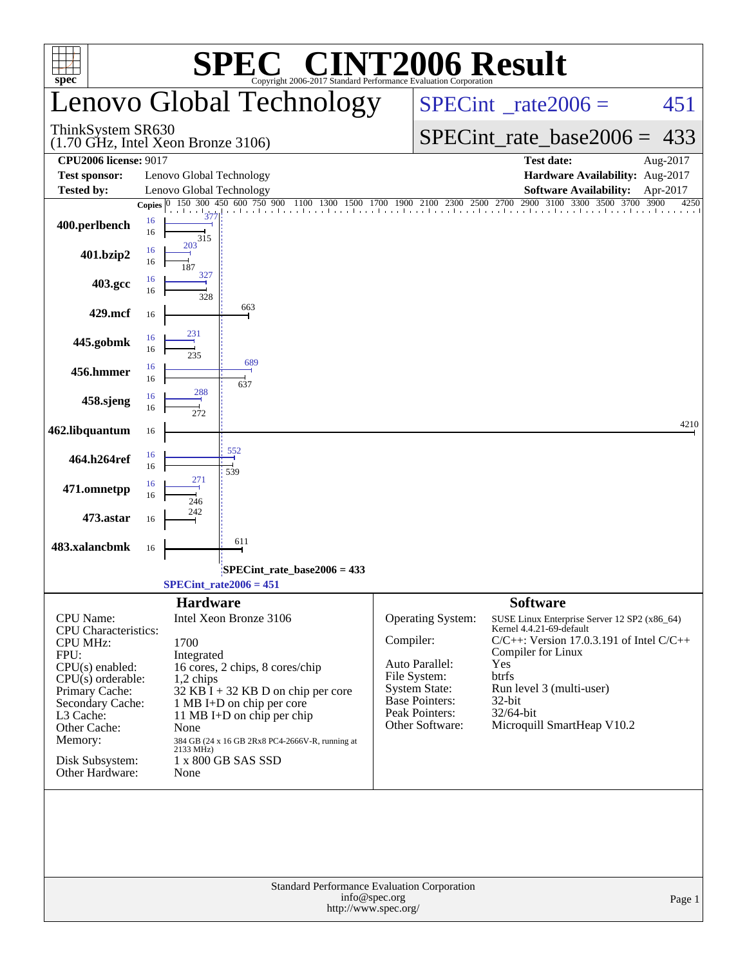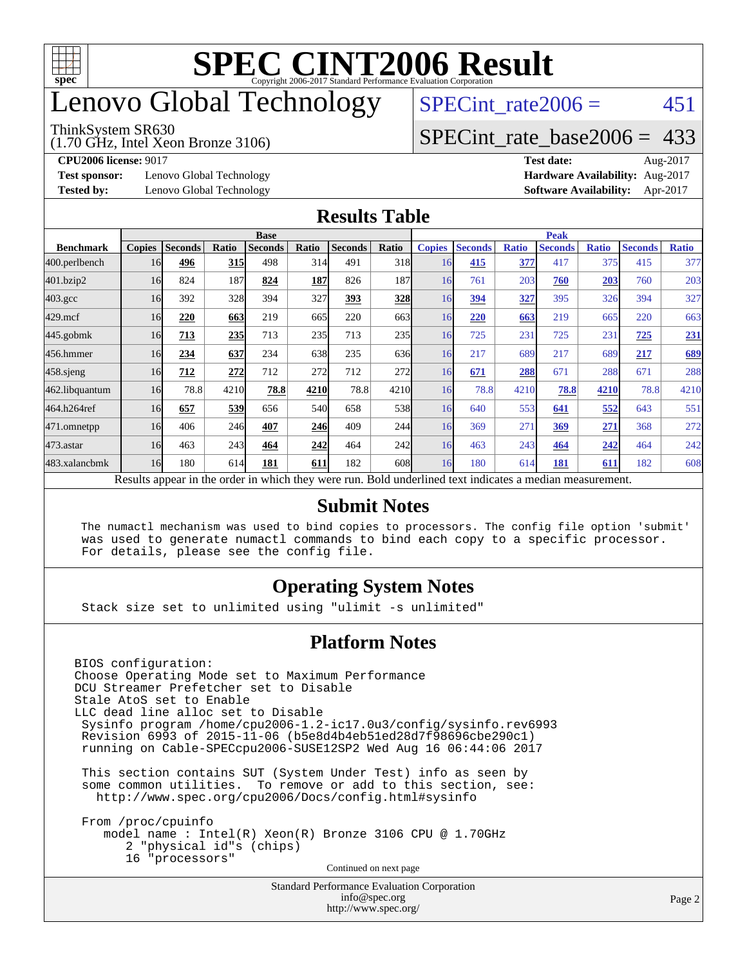

## enovo Global Technology

#### ThinkSystem SR630

(1.70 GHz, Intel Xeon Bronze 3106)

 $SPECTnt_rate2006 = 451$ 

#### [SPECint\\_rate\\_base2006 =](http://www.spec.org/auto/cpu2006/Docs/result-fields.html#SPECintratebase2006) 433

**[Test sponsor:](http://www.spec.org/auto/cpu2006/Docs/result-fields.html#Testsponsor)** Lenovo Global Technology **[Hardware Availability:](http://www.spec.org/auto/cpu2006/Docs/result-fields.html#HardwareAvailability)** Aug-2017

**[CPU2006 license:](http://www.spec.org/auto/cpu2006/Docs/result-fields.html#CPU2006license)** 9017 **[Test date:](http://www.spec.org/auto/cpu2006/Docs/result-fields.html#Testdate)** Aug-2017 **[Tested by:](http://www.spec.org/auto/cpu2006/Docs/result-fields.html#Testedby)** Lenovo Global Technology **[Software Availability:](http://www.spec.org/auto/cpu2006/Docs/result-fields.html#SoftwareAvailability)** Apr-2017

#### **[Results Table](http://www.spec.org/auto/cpu2006/Docs/result-fields.html#ResultsTable)**

|                  | <b>Base</b>                                                                                              |                |       |                |       |                | <b>Peak</b> |               |                |              |                |              |                |              |
|------------------|----------------------------------------------------------------------------------------------------------|----------------|-------|----------------|-------|----------------|-------------|---------------|----------------|--------------|----------------|--------------|----------------|--------------|
| <b>Benchmark</b> | <b>Copies</b>                                                                                            | <b>Seconds</b> | Ratio | <b>Seconds</b> | Ratio | <b>Seconds</b> | Ratio       | <b>Copies</b> | <b>Seconds</b> | <b>Ratio</b> | <b>Seconds</b> | <b>Ratio</b> | <b>Seconds</b> | <b>Ratio</b> |
| 400.perlbench    | 16                                                                                                       | 496            | 315   | 498            | 314   | 491            | 318         | 16            | 415            | 377          | 417            | 375          | 415            | 377          |
| 401.bzip2        | 16                                                                                                       | 824            | 187   | 824            | 187   | 826            | 187         | 16            | 761            | 203          | 760            | 203          | 760            | 203          |
| $403.\text{gcc}$ | 16                                                                                                       | 392            | 328   | 394            | 327   | 393            | 328         | 16            | 394            | 327          | 395            | 326          | 394            | 327          |
| $429$ .mcf       | 16                                                                                                       | 220            | 663   | 219            | 665   | 220            | 663I        | 16            | 220            | 663          | 219            | 665          | 220            | 663          |
| $445$ .gobmk     | 16                                                                                                       | 713            | 235   | 713            | 235   | 713            | 235         | 16            | 725            | 231          | 725            | 231          | 725            | <u>231</u>   |
| 456.hmmer        | 16                                                                                                       | 234            | 637   | 234            | 638   | 235            | 636         | 16            | 217            | 689          | 217            | 689          | 217            | <u>689</u>   |
| $458$ .sjeng     | 16                                                                                                       | 712            | 272   | 712            | 272   | 712            | 272         | 16            | 671            | 288          | 671            | 288          | 671            | 288          |
| 462.libquantum   | 16                                                                                                       | 78.8           | 4210  | 78.8           | 4210  | 78.8           | 4210        | 16            | 78.8           | 4210         | 78.8           | 4210         | 78.8           | 4210         |
| 464.h264ref      | 16                                                                                                       | 657            | 539   | 656            | 540   | 658            | 538         | 16            | 640            | 553          | 641            | 552          | 643            | 551          |
| 471.omnetpp      | 16                                                                                                       | 406            | 246   | 407            | 246   | 409            | 244         | 16            | 369            | 271          | 369            | 271          | 368            | 272          |
| $473$ . astar    | 16                                                                                                       | 463            | 243   | 464            | 242   | 464            | 242         | 16            | 463            | 243          | 464            | 242          | 464            | 242          |
| 483.xalancbmk    | 16                                                                                                       | 180            | 614   | 181            | 611   | 182            | 608         | 16            | 180            | 614          | 181            | 611          | 182            | 608          |
|                  | Results appear in the order in which they were run. Bold underlined text indicates a median measurement. |                |       |                |       |                |             |               |                |              |                |              |                |              |

#### **[Submit Notes](http://www.spec.org/auto/cpu2006/Docs/result-fields.html#SubmitNotes)**

 The numactl mechanism was used to bind copies to processors. The config file option 'submit' was used to generate numactl commands to bind each copy to a specific processor. For details, please see the config file.

#### **[Operating System Notes](http://www.spec.org/auto/cpu2006/Docs/result-fields.html#OperatingSystemNotes)**

Stack size set to unlimited using "ulimit -s unlimited"

#### **[Platform Notes](http://www.spec.org/auto/cpu2006/Docs/result-fields.html#PlatformNotes)**

Standard Performance Evaluation Corporation [info@spec.org](mailto:info@spec.org) <http://www.spec.org/> BIOS configuration: Choose Operating Mode set to Maximum Performance DCU Streamer Prefetcher set to Disable Stale AtoS set to Enable LLC dead line alloc set to Disable Sysinfo program /home/cpu2006-1.2-ic17.0u3/config/sysinfo.rev6993 Revision 6993 of 2015-11-06 (b5e8d4b4eb51ed28d7f98696cbe290c1) running on Cable-SPECcpu2006-SUSE12SP2 Wed Aug 16 06:44:06 2017 This section contains SUT (System Under Test) info as seen by some common utilities. To remove or add to this section, see: <http://www.spec.org/cpu2006/Docs/config.html#sysinfo> From /proc/cpuinfo model name : Intel(R) Xeon(R) Bronze 3106 CPU @ 1.70GHz 2 "physical id"s (chips) 16 "processors" Continued on next page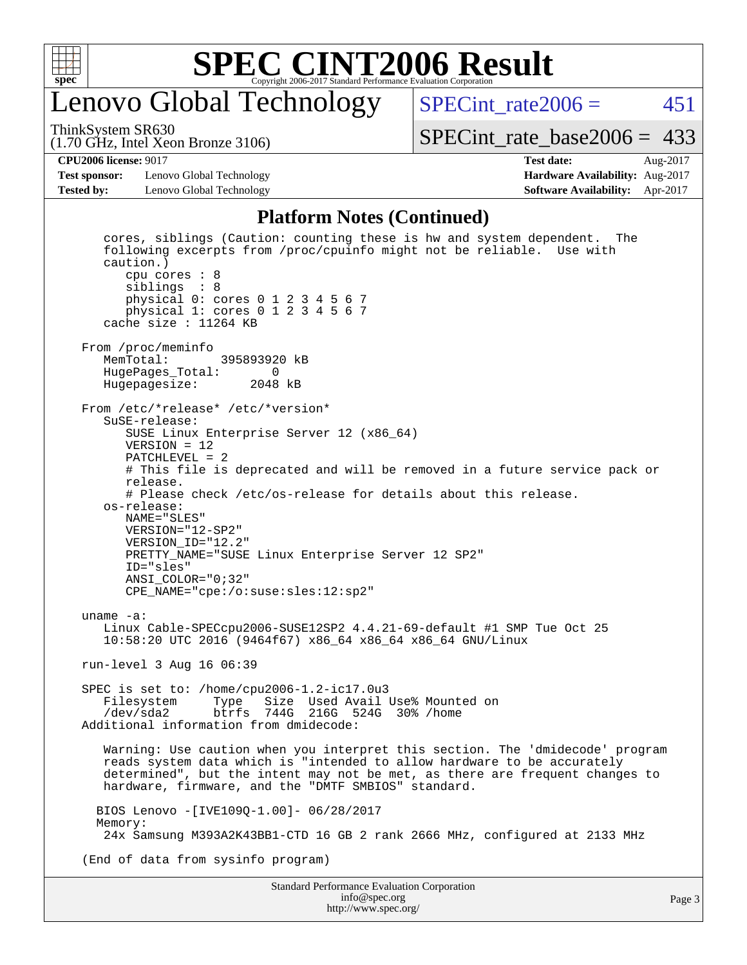

## enovo Global Technology

SPECint rate $2006 = 451$ [SPECint\\_rate\\_base2006 =](http://www.spec.org/auto/cpu2006/Docs/result-fields.html#SPECintratebase2006)  $433$ 

(1.70 GHz, Intel Xeon Bronze 3106) ThinkSystem SR630

**[CPU2006 license:](http://www.spec.org/auto/cpu2006/Docs/result-fields.html#CPU2006license)** 9017 **[Test date:](http://www.spec.org/auto/cpu2006/Docs/result-fields.html#Testdate)** Aug-2017

**[Test sponsor:](http://www.spec.org/auto/cpu2006/Docs/result-fields.html#Testsponsor)** Lenovo Global Technology **[Hardware Availability:](http://www.spec.org/auto/cpu2006/Docs/result-fields.html#HardwareAvailability)** Aug-2017 **[Tested by:](http://www.spec.org/auto/cpu2006/Docs/result-fields.html#Testedby)** Lenovo Global Technology **[Software Availability:](http://www.spec.org/auto/cpu2006/Docs/result-fields.html#SoftwareAvailability)** Apr-2017

#### **[Platform Notes \(Continued\)](http://www.spec.org/auto/cpu2006/Docs/result-fields.html#PlatformNotes)**

 cores, siblings (Caution: counting these is hw and system dependent. The following excerpts from /proc/cpuinfo might not be reliable. Use with caution.) cpu cores : 8 siblings : 8 physical 0: cores 0 1 2 3 4 5 6 7 physical 1: cores 0 1 2 3 4 5 6 7 cache size : 11264 KB From /proc/meminfo<br>MemTotal: 395893920 kB HugePages\_Total: 0 Hugepagesize: 2048 kB From /etc/\*release\* /etc/\*version\* SuSE-release: SUSE Linux Enterprise Server 12 (x86\_64) VERSION = 12 PATCHLEVEL = 2 # This file is deprecated and will be removed in a future service pack or release. # Please check /etc/os-release for details about this release. os-release: NAME="SLES" VERSION="12-SP2" VERSION\_ID="12.2" PRETTY\_NAME="SUSE Linux Enterprise Server 12 SP2" ID="sles" ANSI\_COLOR="0;32" CPE\_NAME="cpe:/o:suse:sles:12:sp2" uname -a: Linux Cable-SPECcpu2006-SUSE12SP2 4.4.21-69-default #1 SMP Tue Oct 25 10:58:20 UTC 2016 (9464f67) x86\_64 x86\_64 x86\_64 GNU/Linux run-level 3 Aug 16 06:39 SPEC is set to: /home/cpu2006-1.2-ic17.0u3 Filesystem Type Size Used Avail Use% Mounted on /dev/sda2 btrfs 744G 216G 524G 30% /home Additional information from dmidecode: Warning: Use caution when you interpret this section. The 'dmidecode' program reads system data which is "intended to allow hardware to be accurately determined", but the intent may not be met, as there are frequent changes to hardware, firmware, and the "DMTF SMBIOS" standard. BIOS Lenovo -[IVE109Q-1.00]- 06/28/2017 Memory: 24x Samsung M393A2K43BB1-CTD 16 GB 2 rank 2666 MHz, configured at 2133 MHz (End of data from sysinfo program)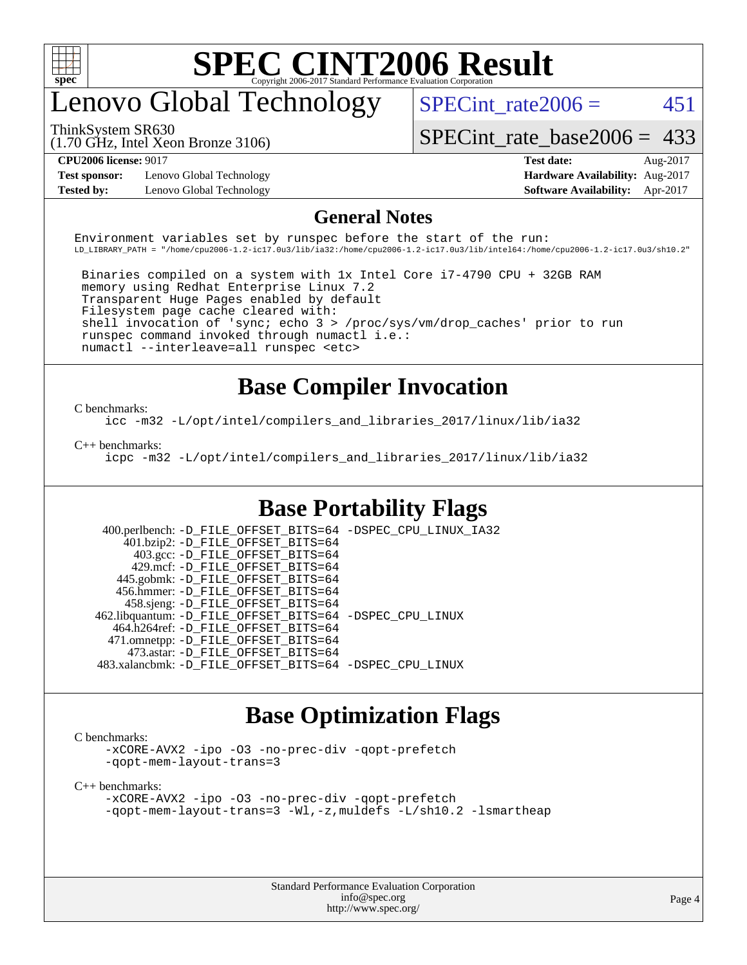

## enovo Global Technology

 $SPECTnt_rate2006 = 451$ 

ThinkSystem SR630

(1.70 GHz, Intel Xeon Bronze 3106)

[SPECint\\_rate\\_base2006 =](http://www.spec.org/auto/cpu2006/Docs/result-fields.html#SPECintratebase2006) 433

**[Test sponsor:](http://www.spec.org/auto/cpu2006/Docs/result-fields.html#Testsponsor)** Lenovo Global Technology **[Hardware Availability:](http://www.spec.org/auto/cpu2006/Docs/result-fields.html#HardwareAvailability)** Aug-2017

**[CPU2006 license:](http://www.spec.org/auto/cpu2006/Docs/result-fields.html#CPU2006license)** 9017 **[Test date:](http://www.spec.org/auto/cpu2006/Docs/result-fields.html#Testdate)** Aug-2017 **[Tested by:](http://www.spec.org/auto/cpu2006/Docs/result-fields.html#Testedby)** Lenovo Global Technology **[Software Availability:](http://www.spec.org/auto/cpu2006/Docs/result-fields.html#SoftwareAvailability)** Apr-2017

#### **[General Notes](http://www.spec.org/auto/cpu2006/Docs/result-fields.html#GeneralNotes)**

Environment variables set by runspec before the start of the run: LD\_LIBRARY\_PATH = "/home/cpu2006-1.2-ic17.0u3/lib/ia32:/home/cpu2006-1.2-ic17.0u3/lib/intel64:/home/cpu2006-1.2-ic17.0u3/sh10.2"

 Binaries compiled on a system with 1x Intel Core i7-4790 CPU + 32GB RAM memory using Redhat Enterprise Linux 7.2 Transparent Huge Pages enabled by default Filesystem page cache cleared with: shell invocation of 'sync; echo 3 > /proc/sys/vm/drop\_caches' prior to run runspec command invoked through numactl i.e.: numactl --interleave=all runspec <etc>

### **[Base Compiler Invocation](http://www.spec.org/auto/cpu2006/Docs/result-fields.html#BaseCompilerInvocation)**

[C benchmarks](http://www.spec.org/auto/cpu2006/Docs/result-fields.html#Cbenchmarks):

[icc -m32 -L/opt/intel/compilers\\_and\\_libraries\\_2017/linux/lib/ia32](http://www.spec.org/cpu2006/results/res2017q4/cpu2006-20170918-49457.flags.html#user_CCbase_intel_icc_c29f3ff5a7ed067b11e4ec10a03f03ae)

[C++ benchmarks:](http://www.spec.org/auto/cpu2006/Docs/result-fields.html#CXXbenchmarks)

[icpc -m32 -L/opt/intel/compilers\\_and\\_libraries\\_2017/linux/lib/ia32](http://www.spec.org/cpu2006/results/res2017q4/cpu2006-20170918-49457.flags.html#user_CXXbase_intel_icpc_8c35c7808b62dab9ae41a1aa06361b6b)

### **[Base Portability Flags](http://www.spec.org/auto/cpu2006/Docs/result-fields.html#BasePortabilityFlags)**

 400.perlbench: [-D\\_FILE\\_OFFSET\\_BITS=64](http://www.spec.org/cpu2006/results/res2017q4/cpu2006-20170918-49457.flags.html#user_basePORTABILITY400_perlbench_file_offset_bits_64_438cf9856305ebd76870a2c6dc2689ab) [-DSPEC\\_CPU\\_LINUX\\_IA32](http://www.spec.org/cpu2006/results/res2017q4/cpu2006-20170918-49457.flags.html#b400.perlbench_baseCPORTABILITY_DSPEC_CPU_LINUX_IA32) 401.bzip2: [-D\\_FILE\\_OFFSET\\_BITS=64](http://www.spec.org/cpu2006/results/res2017q4/cpu2006-20170918-49457.flags.html#user_basePORTABILITY401_bzip2_file_offset_bits_64_438cf9856305ebd76870a2c6dc2689ab) 403.gcc: [-D\\_FILE\\_OFFSET\\_BITS=64](http://www.spec.org/cpu2006/results/res2017q4/cpu2006-20170918-49457.flags.html#user_basePORTABILITY403_gcc_file_offset_bits_64_438cf9856305ebd76870a2c6dc2689ab) 429.mcf: [-D\\_FILE\\_OFFSET\\_BITS=64](http://www.spec.org/cpu2006/results/res2017q4/cpu2006-20170918-49457.flags.html#user_basePORTABILITY429_mcf_file_offset_bits_64_438cf9856305ebd76870a2c6dc2689ab) 445.gobmk: [-D\\_FILE\\_OFFSET\\_BITS=64](http://www.spec.org/cpu2006/results/res2017q4/cpu2006-20170918-49457.flags.html#user_basePORTABILITY445_gobmk_file_offset_bits_64_438cf9856305ebd76870a2c6dc2689ab) 456.hmmer: [-D\\_FILE\\_OFFSET\\_BITS=64](http://www.spec.org/cpu2006/results/res2017q4/cpu2006-20170918-49457.flags.html#user_basePORTABILITY456_hmmer_file_offset_bits_64_438cf9856305ebd76870a2c6dc2689ab) 458.sjeng: [-D\\_FILE\\_OFFSET\\_BITS=64](http://www.spec.org/cpu2006/results/res2017q4/cpu2006-20170918-49457.flags.html#user_basePORTABILITY458_sjeng_file_offset_bits_64_438cf9856305ebd76870a2c6dc2689ab) 462.libquantum: [-D\\_FILE\\_OFFSET\\_BITS=64](http://www.spec.org/cpu2006/results/res2017q4/cpu2006-20170918-49457.flags.html#user_basePORTABILITY462_libquantum_file_offset_bits_64_438cf9856305ebd76870a2c6dc2689ab) [-DSPEC\\_CPU\\_LINUX](http://www.spec.org/cpu2006/results/res2017q4/cpu2006-20170918-49457.flags.html#b462.libquantum_baseCPORTABILITY_DSPEC_CPU_LINUX) 464.h264ref: [-D\\_FILE\\_OFFSET\\_BITS=64](http://www.spec.org/cpu2006/results/res2017q4/cpu2006-20170918-49457.flags.html#user_basePORTABILITY464_h264ref_file_offset_bits_64_438cf9856305ebd76870a2c6dc2689ab) 471.omnetpp: [-D\\_FILE\\_OFFSET\\_BITS=64](http://www.spec.org/cpu2006/results/res2017q4/cpu2006-20170918-49457.flags.html#user_basePORTABILITY471_omnetpp_file_offset_bits_64_438cf9856305ebd76870a2c6dc2689ab) 473.astar: [-D\\_FILE\\_OFFSET\\_BITS=64](http://www.spec.org/cpu2006/results/res2017q4/cpu2006-20170918-49457.flags.html#user_basePORTABILITY473_astar_file_offset_bits_64_438cf9856305ebd76870a2c6dc2689ab) 483.xalancbmk: [-D\\_FILE\\_OFFSET\\_BITS=64](http://www.spec.org/cpu2006/results/res2017q4/cpu2006-20170918-49457.flags.html#user_basePORTABILITY483_xalancbmk_file_offset_bits_64_438cf9856305ebd76870a2c6dc2689ab) [-DSPEC\\_CPU\\_LINUX](http://www.spec.org/cpu2006/results/res2017q4/cpu2006-20170918-49457.flags.html#b483.xalancbmk_baseCXXPORTABILITY_DSPEC_CPU_LINUX)

### **[Base Optimization Flags](http://www.spec.org/auto/cpu2006/Docs/result-fields.html#BaseOptimizationFlags)**

[C benchmarks](http://www.spec.org/auto/cpu2006/Docs/result-fields.html#Cbenchmarks):

[-xCORE-AVX2](http://www.spec.org/cpu2006/results/res2017q4/cpu2006-20170918-49457.flags.html#user_CCbase_f-xCORE-AVX2) [-ipo](http://www.spec.org/cpu2006/results/res2017q4/cpu2006-20170918-49457.flags.html#user_CCbase_f-ipo) [-O3](http://www.spec.org/cpu2006/results/res2017q4/cpu2006-20170918-49457.flags.html#user_CCbase_f-O3) [-no-prec-div](http://www.spec.org/cpu2006/results/res2017q4/cpu2006-20170918-49457.flags.html#user_CCbase_f-no-prec-div) [-qopt-prefetch](http://www.spec.org/cpu2006/results/res2017q4/cpu2006-20170918-49457.flags.html#user_CCbase_f-qopt-prefetch) [-qopt-mem-layout-trans=3](http://www.spec.org/cpu2006/results/res2017q4/cpu2006-20170918-49457.flags.html#user_CCbase_f-qopt-mem-layout-trans_170f5be61cd2cedc9b54468c59262d5d)

[C++ benchmarks:](http://www.spec.org/auto/cpu2006/Docs/result-fields.html#CXXbenchmarks)

[-xCORE-AVX2](http://www.spec.org/cpu2006/results/res2017q4/cpu2006-20170918-49457.flags.html#user_CXXbase_f-xCORE-AVX2) [-ipo](http://www.spec.org/cpu2006/results/res2017q4/cpu2006-20170918-49457.flags.html#user_CXXbase_f-ipo) [-O3](http://www.spec.org/cpu2006/results/res2017q4/cpu2006-20170918-49457.flags.html#user_CXXbase_f-O3) [-no-prec-div](http://www.spec.org/cpu2006/results/res2017q4/cpu2006-20170918-49457.flags.html#user_CXXbase_f-no-prec-div) [-qopt-prefetch](http://www.spec.org/cpu2006/results/res2017q4/cpu2006-20170918-49457.flags.html#user_CXXbase_f-qopt-prefetch) [-qopt-mem-layout-trans=3](http://www.spec.org/cpu2006/results/res2017q4/cpu2006-20170918-49457.flags.html#user_CXXbase_f-qopt-mem-layout-trans_170f5be61cd2cedc9b54468c59262d5d) [-Wl,-z,muldefs](http://www.spec.org/cpu2006/results/res2017q4/cpu2006-20170918-49457.flags.html#user_CXXbase_link_force_multiple1_74079c344b956b9658436fd1b6dd3a8a) [-L/sh10.2 -lsmartheap](http://www.spec.org/cpu2006/results/res2017q4/cpu2006-20170918-49457.flags.html#user_CXXbase_SmartHeap_b831f2d313e2fffa6dfe3f00ffc1f1c0)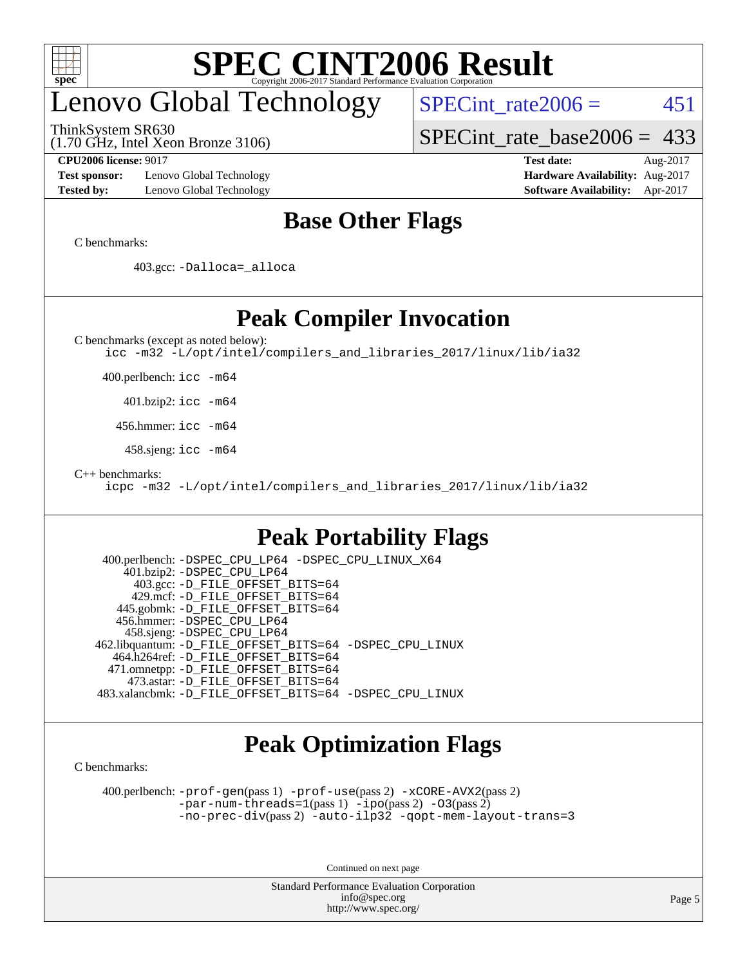

## enovo Global Technology

ThinkSystem SR630

(1.70 GHz, Intel Xeon Bronze 3106)

**[Test sponsor:](http://www.spec.org/auto/cpu2006/Docs/result-fields.html#Testsponsor)** Lenovo Global Technology **[Hardware Availability:](http://www.spec.org/auto/cpu2006/Docs/result-fields.html#HardwareAvailability)** Aug-2017

 $SPECTnt_rate2006 = 451$ 

[SPECint\\_rate\\_base2006 =](http://www.spec.org/auto/cpu2006/Docs/result-fields.html#SPECintratebase2006)  $433$ 

**[CPU2006 license:](http://www.spec.org/auto/cpu2006/Docs/result-fields.html#CPU2006license)** 9017 **[Test date:](http://www.spec.org/auto/cpu2006/Docs/result-fields.html#Testdate)** Aug-2017 **[Tested by:](http://www.spec.org/auto/cpu2006/Docs/result-fields.html#Testedby)** Lenovo Global Technology **[Software Availability:](http://www.spec.org/auto/cpu2006/Docs/result-fields.html#SoftwareAvailability)** Apr-2017

### **[Base Other Flags](http://www.spec.org/auto/cpu2006/Docs/result-fields.html#BaseOtherFlags)**

[C benchmarks](http://www.spec.org/auto/cpu2006/Docs/result-fields.html#Cbenchmarks):

403.gcc: [-Dalloca=\\_alloca](http://www.spec.org/cpu2006/results/res2017q4/cpu2006-20170918-49457.flags.html#b403.gcc_baseEXTRA_CFLAGS_Dalloca_be3056838c12de2578596ca5467af7f3)

**[Peak Compiler Invocation](http://www.spec.org/auto/cpu2006/Docs/result-fields.html#PeakCompilerInvocation)**

[C benchmarks \(except as noted below\)](http://www.spec.org/auto/cpu2006/Docs/result-fields.html#Cbenchmarksexceptasnotedbelow):

[icc -m32 -L/opt/intel/compilers\\_and\\_libraries\\_2017/linux/lib/ia32](http://www.spec.org/cpu2006/results/res2017q4/cpu2006-20170918-49457.flags.html#user_CCpeak_intel_icc_c29f3ff5a7ed067b11e4ec10a03f03ae)

400.perlbench: [icc -m64](http://www.spec.org/cpu2006/results/res2017q4/cpu2006-20170918-49457.flags.html#user_peakCCLD400_perlbench_intel_icc_64bit_bda6cc9af1fdbb0edc3795bac97ada53)

401.bzip2: [icc -m64](http://www.spec.org/cpu2006/results/res2017q4/cpu2006-20170918-49457.flags.html#user_peakCCLD401_bzip2_intel_icc_64bit_bda6cc9af1fdbb0edc3795bac97ada53)

456.hmmer: [icc -m64](http://www.spec.org/cpu2006/results/res2017q4/cpu2006-20170918-49457.flags.html#user_peakCCLD456_hmmer_intel_icc_64bit_bda6cc9af1fdbb0edc3795bac97ada53)

458.sjeng: [icc -m64](http://www.spec.org/cpu2006/results/res2017q4/cpu2006-20170918-49457.flags.html#user_peakCCLD458_sjeng_intel_icc_64bit_bda6cc9af1fdbb0edc3795bac97ada53)

[C++ benchmarks:](http://www.spec.org/auto/cpu2006/Docs/result-fields.html#CXXbenchmarks)

[icpc -m32 -L/opt/intel/compilers\\_and\\_libraries\\_2017/linux/lib/ia32](http://www.spec.org/cpu2006/results/res2017q4/cpu2006-20170918-49457.flags.html#user_CXXpeak_intel_icpc_8c35c7808b62dab9ae41a1aa06361b6b)

### **[Peak Portability Flags](http://www.spec.org/auto/cpu2006/Docs/result-fields.html#PeakPortabilityFlags)**

```
 400.perlbench: -DSPEC_CPU_LP64 -DSPEC_CPU_LINUX_X64
    401.bzip2: -DSPEC_CPU_LP64
      403.gcc: -D_FILE_OFFSET_BITS=64
     429.mcf: -D_FILE_OFFSET_BITS=64
   445.gobmk: -D_FILE_OFFSET_BITS=64
   456.hmmer: -DSPEC_CPU_LP64
    458.sjeng: -DSPEC_CPU_LP64
462.libquantum: -D_FILE_OFFSET_BITS=64 -DSPEC_CPU_LINUX
  464.h264ref: -D_FILE_OFFSET_BITS=64
  471.omnetpp: -D_FILE_OFFSET_BITS=64
     473.astar: -D_FILE_OFFSET_BITS=64
483.xalancbmk: -D_FILE_OFFSET_BITS=64 -DSPEC_CPU_LINUX
```
## **[Peak Optimization Flags](http://www.spec.org/auto/cpu2006/Docs/result-fields.html#PeakOptimizationFlags)**

[C benchmarks](http://www.spec.org/auto/cpu2006/Docs/result-fields.html#Cbenchmarks):

 400.perlbench: [-prof-gen](http://www.spec.org/cpu2006/results/res2017q4/cpu2006-20170918-49457.flags.html#user_peakPASS1_CFLAGSPASS1_LDCFLAGS400_perlbench_prof_gen_e43856698f6ca7b7e442dfd80e94a8fc)(pass 1) [-prof-use](http://www.spec.org/cpu2006/results/res2017q4/cpu2006-20170918-49457.flags.html#user_peakPASS2_CFLAGSPASS2_LDCFLAGS400_perlbench_prof_use_bccf7792157ff70d64e32fe3e1250b55)(pass 2) [-xCORE-AVX2](http://www.spec.org/cpu2006/results/res2017q4/cpu2006-20170918-49457.flags.html#user_peakPASS2_CFLAGSPASS2_LDCFLAGS400_perlbench_f-xCORE-AVX2)(pass 2)  $-par-num-threads=1(pass 1) -ipo(pass 2) -O3(pass 2)$  $-par-num-threads=1(pass 1) -ipo(pass 2) -O3(pass 2)$  $-par-num-threads=1(pass 1) -ipo(pass 2) -O3(pass 2)$  $-par-num-threads=1(pass 1) -ipo(pass 2) -O3(pass 2)$  $-par-num-threads=1(pass 1) -ipo(pass 2) -O3(pass 2)$  $-par-num-threads=1(pass 1) -ipo(pass 2) -O3(pass 2)$ [-no-prec-div](http://www.spec.org/cpu2006/results/res2017q4/cpu2006-20170918-49457.flags.html#user_peakPASS2_CFLAGSPASS2_LDCFLAGS400_perlbench_f-no-prec-div)(pass 2) [-auto-ilp32](http://www.spec.org/cpu2006/results/res2017q4/cpu2006-20170918-49457.flags.html#user_peakCOPTIMIZE400_perlbench_f-auto-ilp32) [-qopt-mem-layout-trans=3](http://www.spec.org/cpu2006/results/res2017q4/cpu2006-20170918-49457.flags.html#user_peakCOPTIMIZE400_perlbench_f-qopt-mem-layout-trans_170f5be61cd2cedc9b54468c59262d5d)

Continued on next page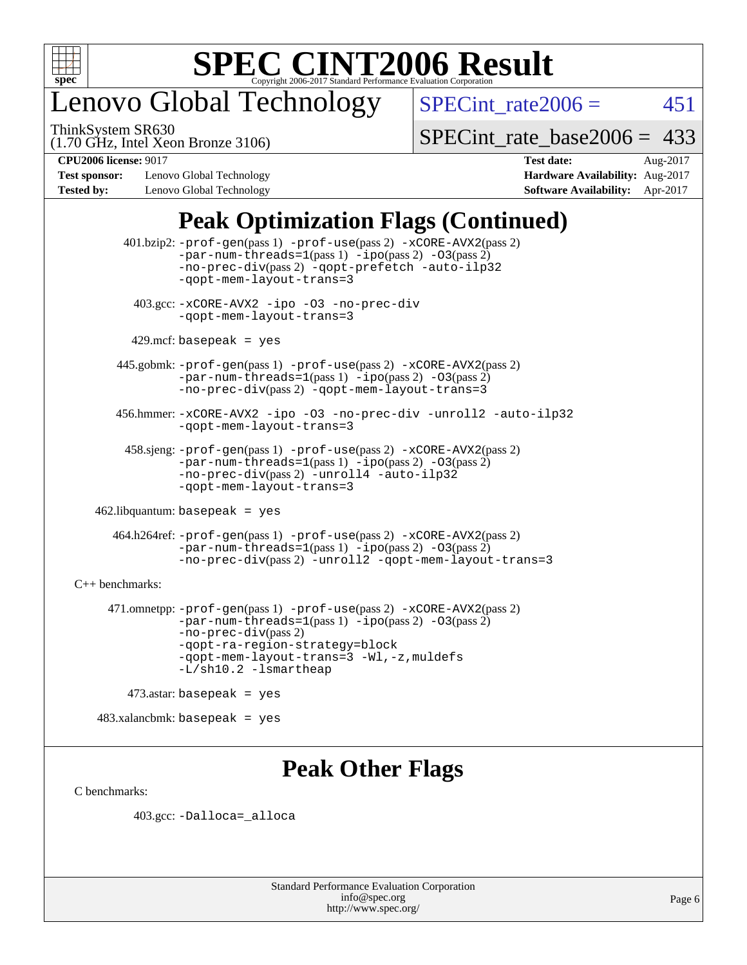

## enovo Global Technology

ThinkSystem SR630

 $SPECTnt_rate2006 = 451$ 

(1.70 GHz, Intel Xeon Bronze 3106)

[SPECint\\_rate\\_base2006 =](http://www.spec.org/auto/cpu2006/Docs/result-fields.html#SPECintratebase2006)  $433$ 

**[Test sponsor:](http://www.spec.org/auto/cpu2006/Docs/result-fields.html#Testsponsor)** Lenovo Global Technology **[Hardware Availability:](http://www.spec.org/auto/cpu2006/Docs/result-fields.html#HardwareAvailability)** Aug-2017 **[Tested by:](http://www.spec.org/auto/cpu2006/Docs/result-fields.html#Testedby)** Lenovo Global Technology **[Software Availability:](http://www.spec.org/auto/cpu2006/Docs/result-fields.html#SoftwareAvailability)** Apr-2017

**[CPU2006 license:](http://www.spec.org/auto/cpu2006/Docs/result-fields.html#CPU2006license)** 9017 **[Test date:](http://www.spec.org/auto/cpu2006/Docs/result-fields.html#Testdate)** Aug-2017

## **[Peak Optimization Flags \(Continued\)](http://www.spec.org/auto/cpu2006/Docs/result-fields.html#PeakOptimizationFlags)**

 401.bzip2: [-prof-gen](http://www.spec.org/cpu2006/results/res2017q4/cpu2006-20170918-49457.flags.html#user_peakPASS1_CFLAGSPASS1_LDCFLAGS401_bzip2_prof_gen_e43856698f6ca7b7e442dfd80e94a8fc)(pass 1) [-prof-use](http://www.spec.org/cpu2006/results/res2017q4/cpu2006-20170918-49457.flags.html#user_peakPASS2_CFLAGSPASS2_LDCFLAGS401_bzip2_prof_use_bccf7792157ff70d64e32fe3e1250b55)(pass 2) [-xCORE-AVX2](http://www.spec.org/cpu2006/results/res2017q4/cpu2006-20170918-49457.flags.html#user_peakPASS2_CFLAGSPASS2_LDCFLAGS401_bzip2_f-xCORE-AVX2)(pass 2)  $-par-num-threads=1(pass 1) -ipo(pass 2) -O3(pass 2)$  $-par-num-threads=1(pass 1) -ipo(pass 2) -O3(pass 2)$  $-par-num-threads=1(pass 1) -ipo(pass 2) -O3(pass 2)$  $-par-num-threads=1(pass 1) -ipo(pass 2) -O3(pass 2)$  $-par-num-threads=1(pass 1) -ipo(pass 2) -O3(pass 2)$  $-par-num-threads=1(pass 1) -ipo(pass 2) -O3(pass 2)$ [-no-prec-div](http://www.spec.org/cpu2006/results/res2017q4/cpu2006-20170918-49457.flags.html#user_peakPASS2_CFLAGSPASS2_LDCFLAGS401_bzip2_f-no-prec-div)(pass 2) [-qopt-prefetch](http://www.spec.org/cpu2006/results/res2017q4/cpu2006-20170918-49457.flags.html#user_peakCOPTIMIZE401_bzip2_f-qopt-prefetch) [-auto-ilp32](http://www.spec.org/cpu2006/results/res2017q4/cpu2006-20170918-49457.flags.html#user_peakCOPTIMIZE401_bzip2_f-auto-ilp32) [-qopt-mem-layout-trans=3](http://www.spec.org/cpu2006/results/res2017q4/cpu2006-20170918-49457.flags.html#user_peakCOPTIMIZE401_bzip2_f-qopt-mem-layout-trans_170f5be61cd2cedc9b54468c59262d5d) 403.gcc: [-xCORE-AVX2](http://www.spec.org/cpu2006/results/res2017q4/cpu2006-20170918-49457.flags.html#user_peakOPTIMIZE403_gcc_f-xCORE-AVX2) [-ipo](http://www.spec.org/cpu2006/results/res2017q4/cpu2006-20170918-49457.flags.html#user_peakOPTIMIZE403_gcc_f-ipo) [-O3](http://www.spec.org/cpu2006/results/res2017q4/cpu2006-20170918-49457.flags.html#user_peakOPTIMIZE403_gcc_f-O3) [-no-prec-div](http://www.spec.org/cpu2006/results/res2017q4/cpu2006-20170918-49457.flags.html#user_peakOPTIMIZE403_gcc_f-no-prec-div) [-qopt-mem-layout-trans=3](http://www.spec.org/cpu2006/results/res2017q4/cpu2006-20170918-49457.flags.html#user_peakCOPTIMIZE403_gcc_f-qopt-mem-layout-trans_170f5be61cd2cedc9b54468c59262d5d)  $429$ .mcf: basepeak = yes 445.gobmk: [-prof-gen](http://www.spec.org/cpu2006/results/res2017q4/cpu2006-20170918-49457.flags.html#user_peakPASS1_CFLAGSPASS1_LDCFLAGS445_gobmk_prof_gen_e43856698f6ca7b7e442dfd80e94a8fc)(pass 1) [-prof-use](http://www.spec.org/cpu2006/results/res2017q4/cpu2006-20170918-49457.flags.html#user_peakPASS2_CFLAGSPASS2_LDCFLAGSPASS2_LDFLAGS445_gobmk_prof_use_bccf7792157ff70d64e32fe3e1250b55)(pass 2) [-xCORE-AVX2](http://www.spec.org/cpu2006/results/res2017q4/cpu2006-20170918-49457.flags.html#user_peakPASS2_CFLAGSPASS2_LDCFLAGSPASS2_LDFLAGS445_gobmk_f-xCORE-AVX2)(pass 2) [-par-num-threads=1](http://www.spec.org/cpu2006/results/res2017q4/cpu2006-20170918-49457.flags.html#user_peakPASS1_CFLAGSPASS1_LDCFLAGS445_gobmk_par_num_threads_786a6ff141b4e9e90432e998842df6c2)(pass 1) [-ipo](http://www.spec.org/cpu2006/results/res2017q4/cpu2006-20170918-49457.flags.html#user_peakPASS2_LDCFLAGS445_gobmk_f-ipo)(pass 2) [-O3](http://www.spec.org/cpu2006/results/res2017q4/cpu2006-20170918-49457.flags.html#user_peakPASS2_LDCFLAGS445_gobmk_f-O3)(pass 2) [-no-prec-div](http://www.spec.org/cpu2006/results/res2017q4/cpu2006-20170918-49457.flags.html#user_peakPASS2_LDCFLAGS445_gobmk_f-no-prec-div)(pass 2) [-qopt-mem-layout-trans=3](http://www.spec.org/cpu2006/results/res2017q4/cpu2006-20170918-49457.flags.html#user_peakCOPTIMIZE445_gobmk_f-qopt-mem-layout-trans_170f5be61cd2cedc9b54468c59262d5d) 456.hmmer: [-xCORE-AVX2](http://www.spec.org/cpu2006/results/res2017q4/cpu2006-20170918-49457.flags.html#user_peakOPTIMIZE456_hmmer_f-xCORE-AVX2) [-ipo](http://www.spec.org/cpu2006/results/res2017q4/cpu2006-20170918-49457.flags.html#user_peakOPTIMIZE456_hmmer_f-ipo) [-O3](http://www.spec.org/cpu2006/results/res2017q4/cpu2006-20170918-49457.flags.html#user_peakOPTIMIZE456_hmmer_f-O3) [-no-prec-div](http://www.spec.org/cpu2006/results/res2017q4/cpu2006-20170918-49457.flags.html#user_peakOPTIMIZE456_hmmer_f-no-prec-div) [-unroll2](http://www.spec.org/cpu2006/results/res2017q4/cpu2006-20170918-49457.flags.html#user_peakCOPTIMIZE456_hmmer_f-unroll_784dae83bebfb236979b41d2422d7ec2) [-auto-ilp32](http://www.spec.org/cpu2006/results/res2017q4/cpu2006-20170918-49457.flags.html#user_peakCOPTIMIZE456_hmmer_f-auto-ilp32) [-qopt-mem-layout-trans=3](http://www.spec.org/cpu2006/results/res2017q4/cpu2006-20170918-49457.flags.html#user_peakCOPTIMIZE456_hmmer_f-qopt-mem-layout-trans_170f5be61cd2cedc9b54468c59262d5d) 458.sjeng: [-prof-gen](http://www.spec.org/cpu2006/results/res2017q4/cpu2006-20170918-49457.flags.html#user_peakPASS1_CFLAGSPASS1_LDCFLAGS458_sjeng_prof_gen_e43856698f6ca7b7e442dfd80e94a8fc)(pass 1) [-prof-use](http://www.spec.org/cpu2006/results/res2017q4/cpu2006-20170918-49457.flags.html#user_peakPASS2_CFLAGSPASS2_LDCFLAGS458_sjeng_prof_use_bccf7792157ff70d64e32fe3e1250b55)(pass 2) [-xCORE-AVX2](http://www.spec.org/cpu2006/results/res2017q4/cpu2006-20170918-49457.flags.html#user_peakPASS2_CFLAGSPASS2_LDCFLAGS458_sjeng_f-xCORE-AVX2)(pass 2)  $-par-num-threads=1(pass 1) -ipo(pass 2) -O3(pass 2)$  $-par-num-threads=1(pass 1) -ipo(pass 2) -O3(pass 2)$  $-par-num-threads=1(pass 1) -ipo(pass 2) -O3(pass 2)$  $-par-num-threads=1(pass 1) -ipo(pass 2) -O3(pass 2)$  $-par-num-threads=1(pass 1) -ipo(pass 2) -O3(pass 2)$  $-par-num-threads=1(pass 1) -ipo(pass 2) -O3(pass 2)$ [-no-prec-div](http://www.spec.org/cpu2006/results/res2017q4/cpu2006-20170918-49457.flags.html#user_peakPASS2_CFLAGSPASS2_LDCFLAGS458_sjeng_f-no-prec-div)(pass 2) [-unroll4](http://www.spec.org/cpu2006/results/res2017q4/cpu2006-20170918-49457.flags.html#user_peakCOPTIMIZE458_sjeng_f-unroll_4e5e4ed65b7fd20bdcd365bec371b81f) [-auto-ilp32](http://www.spec.org/cpu2006/results/res2017q4/cpu2006-20170918-49457.flags.html#user_peakCOPTIMIZE458_sjeng_f-auto-ilp32) [-qopt-mem-layout-trans=3](http://www.spec.org/cpu2006/results/res2017q4/cpu2006-20170918-49457.flags.html#user_peakCOPTIMIZE458_sjeng_f-qopt-mem-layout-trans_170f5be61cd2cedc9b54468c59262d5d)  $462$ .libquantum: basepeak = yes 464.h264ref: [-prof-gen](http://www.spec.org/cpu2006/results/res2017q4/cpu2006-20170918-49457.flags.html#user_peakPASS1_CFLAGSPASS1_LDCFLAGS464_h264ref_prof_gen_e43856698f6ca7b7e442dfd80e94a8fc)(pass 1) [-prof-use](http://www.spec.org/cpu2006/results/res2017q4/cpu2006-20170918-49457.flags.html#user_peakPASS2_CFLAGSPASS2_LDCFLAGS464_h264ref_prof_use_bccf7792157ff70d64e32fe3e1250b55)(pass 2) [-xCORE-AVX2](http://www.spec.org/cpu2006/results/res2017q4/cpu2006-20170918-49457.flags.html#user_peakPASS2_CFLAGSPASS2_LDCFLAGS464_h264ref_f-xCORE-AVX2)(pass 2)  $-par-num-threads=1(pass 1) -ipo(pass 2) -O3(pass 2)$  $-par-num-threads=1(pass 1) -ipo(pass 2) -O3(pass 2)$  $-par-num-threads=1(pass 1) -ipo(pass 2) -O3(pass 2)$  $-par-num-threads=1(pass 1) -ipo(pass 2) -O3(pass 2)$  $-par-num-threads=1(pass 1) -ipo(pass 2) -O3(pass 2)$  $-par-num-threads=1(pass 1) -ipo(pass 2) -O3(pass 2)$ [-no-prec-div](http://www.spec.org/cpu2006/results/res2017q4/cpu2006-20170918-49457.flags.html#user_peakPASS2_CFLAGSPASS2_LDCFLAGS464_h264ref_f-no-prec-div)(pass 2) [-unroll2](http://www.spec.org/cpu2006/results/res2017q4/cpu2006-20170918-49457.flags.html#user_peakCOPTIMIZE464_h264ref_f-unroll_784dae83bebfb236979b41d2422d7ec2) [-qopt-mem-layout-trans=3](http://www.spec.org/cpu2006/results/res2017q4/cpu2006-20170918-49457.flags.html#user_peakCOPTIMIZE464_h264ref_f-qopt-mem-layout-trans_170f5be61cd2cedc9b54468c59262d5d) [C++ benchmarks:](http://www.spec.org/auto/cpu2006/Docs/result-fields.html#CXXbenchmarks) 471.omnetpp: [-prof-gen](http://www.spec.org/cpu2006/results/res2017q4/cpu2006-20170918-49457.flags.html#user_peakPASS1_CXXFLAGSPASS1_LDCXXFLAGS471_omnetpp_prof_gen_e43856698f6ca7b7e442dfd80e94a8fc)(pass 1) [-prof-use](http://www.spec.org/cpu2006/results/res2017q4/cpu2006-20170918-49457.flags.html#user_peakPASS2_CXXFLAGSPASS2_LDCXXFLAGS471_omnetpp_prof_use_bccf7792157ff70d64e32fe3e1250b55)(pass 2) [-xCORE-AVX2](http://www.spec.org/cpu2006/results/res2017q4/cpu2006-20170918-49457.flags.html#user_peakPASS2_CXXFLAGSPASS2_LDCXXFLAGS471_omnetpp_f-xCORE-AVX2)(pass 2) [-par-num-threads=1](http://www.spec.org/cpu2006/results/res2017q4/cpu2006-20170918-49457.flags.html#user_peakPASS1_CXXFLAGSPASS1_LDCXXFLAGS471_omnetpp_par_num_threads_786a6ff141b4e9e90432e998842df6c2)(pass 1) [-ipo](http://www.spec.org/cpu2006/results/res2017q4/cpu2006-20170918-49457.flags.html#user_peakPASS2_CXXFLAGSPASS2_LDCXXFLAGS471_omnetpp_f-ipo)(pass 2) [-O3](http://www.spec.org/cpu2006/results/res2017q4/cpu2006-20170918-49457.flags.html#user_peakPASS2_CXXFLAGSPASS2_LDCXXFLAGS471_omnetpp_f-O3)(pass 2) [-no-prec-div](http://www.spec.org/cpu2006/results/res2017q4/cpu2006-20170918-49457.flags.html#user_peakPASS2_CXXFLAGSPASS2_LDCXXFLAGS471_omnetpp_f-no-prec-div)(pass 2) [-qopt-ra-region-strategy=block](http://www.spec.org/cpu2006/results/res2017q4/cpu2006-20170918-49457.flags.html#user_peakCXXOPTIMIZE471_omnetpp_f-qopt-ra-region-strategy_430aa8f7c220cbde92ae827fa8d9be32)  [-qopt-mem-layout-trans=3](http://www.spec.org/cpu2006/results/res2017q4/cpu2006-20170918-49457.flags.html#user_peakCXXOPTIMIZE471_omnetpp_f-qopt-mem-layout-trans_170f5be61cd2cedc9b54468c59262d5d) [-Wl,-z,muldefs](http://www.spec.org/cpu2006/results/res2017q4/cpu2006-20170918-49457.flags.html#user_peakEXTRA_LDFLAGS471_omnetpp_link_force_multiple1_74079c344b956b9658436fd1b6dd3a8a) [-L/sh10.2 -lsmartheap](http://www.spec.org/cpu2006/results/res2017q4/cpu2006-20170918-49457.flags.html#user_peakEXTRA_LIBS471_omnetpp_SmartHeap_b831f2d313e2fffa6dfe3f00ffc1f1c0) 473.astar: basepeak = yes  $483.xalanchmk: basepeak = yes$ 

### **[Peak Other Flags](http://www.spec.org/auto/cpu2006/Docs/result-fields.html#PeakOtherFlags)**

[C benchmarks](http://www.spec.org/auto/cpu2006/Docs/result-fields.html#Cbenchmarks):

403.gcc: [-Dalloca=\\_alloca](http://www.spec.org/cpu2006/results/res2017q4/cpu2006-20170918-49457.flags.html#b403.gcc_peakEXTRA_CFLAGS_Dalloca_be3056838c12de2578596ca5467af7f3)